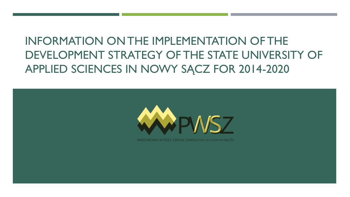# INFORMATION ON THE IMPLEMENTATION OF THE DEVELOPMENT STRATEGY OF THE STATE UNIVERSITY OF APPLIED SCIENCES IN NOWY SĄCZ FOR 2014-2020



PANSTWOWA WYZSZA SZKOŁA ZAWODOWA W NOWYM SACZU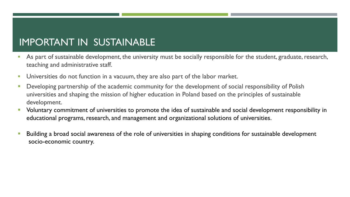### IMPORTANT IN SUSTAINABLE

- As part of sustainable development, the university must be socially responsible for the student, graduate, research, teaching and administrative staff.
- **Universities do not function in a vacuum, they are also part of the labor market.**
- Developing partnership of the academic community for the development of social responsibility of Polish universities and shaping the mission of higher education in Poland based on the principles of sustainable development.
- Voluntary commitment of universities to promote the idea of sustainable and social development responsibility in educational programs, research, and management and organizational solutions of universities.
- Building a broad social awareness of the role of universities in shaping conditions for sustainable development socio-economic country.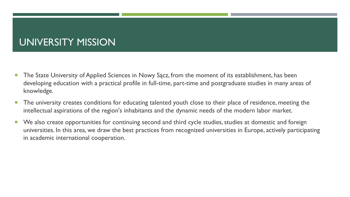### UNIVERSITY MISSION

- **The State University of Applied Sciences in Nowy Sacz, from the moment of its establishment, has been** developing education with a practical profile in full-time, part-time and postgraduate studies in many areas of knowledge.
- **The university creates conditions for educating talented youth close to their place of residence, meeting the** intellectual aspirations of the region's inhabitants and the dynamic needs of the modern labor market.
- We also create opportunities for continuing second and third cycle studies, studies at domestic and foreign universities. In this area, we draw the best practices from recognized universities in Europe, actively participating in academic international cooperation.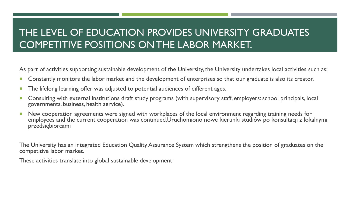## THE LEVEL OF EDUCATION PROVIDES UNIVERSITY GRADUATES COMPETITIVE POSITIONS ON THE LABOR MARKET.

As part of activities supporting sustainable development of the University, the University undertakes local activities such as:

- **Constantly monitors the labor market and the development of enterprises so that our graduate is also its creator.**
- **The lifelong learning offer was adjusted to potential audiences of different ages.**
- **Consulting with external institutions draft study programs (with supervisory staff, employers: school principals, local**  $\blacksquare$ governments, business, health service).
- New cooperation agreements were signed with workplaces of the local environment regarding training needs for employees and the current cooperation was continued.Uruchomiono nowe kierunki studiów po konsultacji z lokalnymi przedsiębiorcami

The University has an integrated Education Quality Assurance System which strengthens the position of graduates on the competitive labor market.

These activities translate into global sustainable development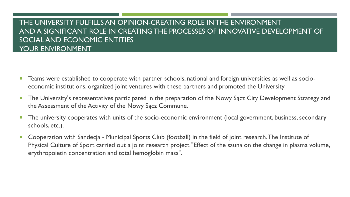#### THE UNIVERSITY FULFILLS AN OPINION-CREATING ROLE IN THE ENVIRONMENT AND A SIGNIFICANT ROLE IN CREATING THE PROCESSES OF INNOVATIVE DEVELOPMENT OF SOCIAL AND ECONOMIC ENTITIES YOUR ENVIRONMENT

- Teams were established to cooperate with partner schools, national and foreign universities as well as socioeconomic institutions, organized joint ventures with these partners and promoted the University
- **The University's representatives participated in the preparation of the Nowy Sącz City Development Strategy and** the Assessment of the Activity of the Nowy Sącz Commune.
- **The university cooperates with units of the socio-economic environment (local government, business, secondary** schools, etc.).
- Cooperation with Sandecja Municipal Sports Club (football) in the field of joint research. The Institute of Physical Culture of Sport carried out a joint research project "Effect of the sauna on the change in plasma volume, erythropoietin concentration and total hemoglobin mass".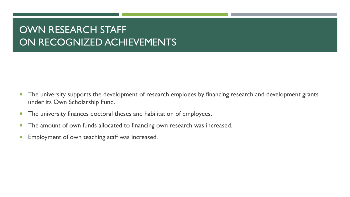### OWN RESEARCH STAFF ON RECOGNIZED ACHIEVEMENTS

- **The university supports the development of research emploees by financing research and development grants** under its Own Scholarship Fund.
- **The university finances doctoral theses and habilitation of employees.**
- **The amount of own funds allocated to financing own research was increased.**
- **Employment of own teaching staff was increased.**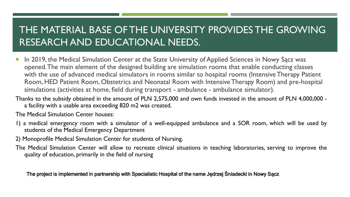### THE MATERIAL BASE OF THE UNIVERSITY PROVIDES THE GROWING RESEARCH AND EDUCATIONAL NEEDS.

- **In 2019, the Medical Simulation Center at the State University of Applied Sciences in Nowy Sącz was** opened. The main element of the designed building are simulation rooms that enable conducting classes with the use of advanced medical simulators in rooms similar to hospital rooms (Intensive Therapy Patient Room, HED Patient Room, Obstetrics and Neonatal Room with Intensive Therapy Room) and pre-hospital simulations (activities at home, field during transport - ambulance - ambulance simulator).
- Thanks to the subsidy obtained in the amount of PLN 2,575,000 and own funds invested in the amount of PLN 4,000,000 a facility with a usable area exceeding 820 m2 was created.

The Medical Simulation Center houses:

- 1) a medical emergency room with a simulator of a well-equipped ambulance and a SOR room, which will be used by students of the Medical Emergency Department
- 2) Monoprofile Medical Simulation Center for students of Nursing.
- The Medical Simulation Center will allow to recreate clinical situations in teaching laboratories, serving to improve the quality of education, primarily in the field of nursing

The project is implemented in partnership with Specialistic Hospital of the name Jędrzej Śniadecki in Nowy Sącz